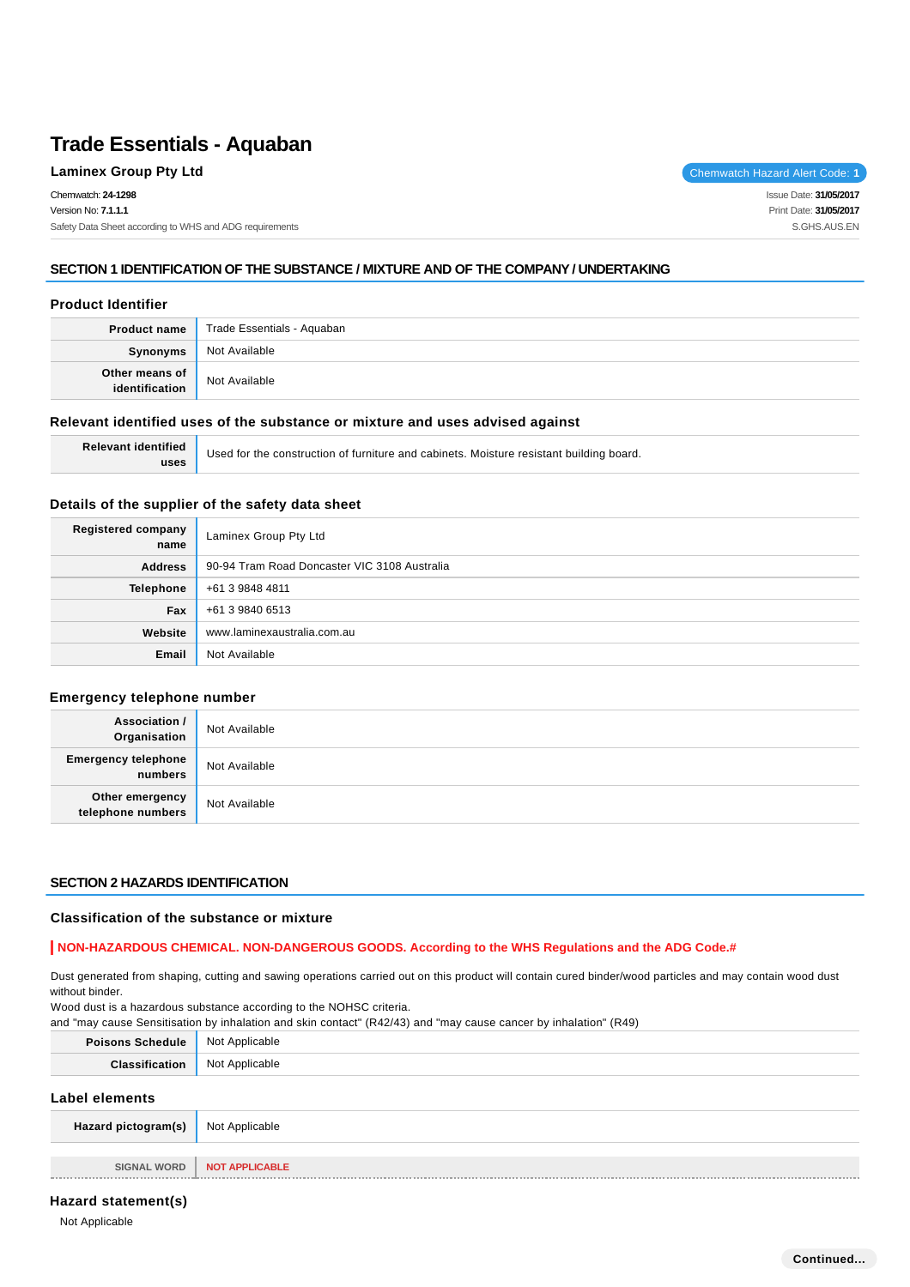# **SECTION 1 IDENTIFICATION OF THE SUBSTANCE / MIXTURE AND OF THE COMPANY / UNDERTAKING**

# **Product Identifier**

| <b>Product name</b> | Trade Essentials - Aquaban |
|---------------------|----------------------------|
| Synonyms            | Not Available              |
| Other means of      | Not Available              |

# **Relevant identified uses of the substance or mixture and uses advised against**

| <b>Relevant identified</b> | Used for the construction of furniture and cabinets. Moisture resistant building board. |
|----------------------------|-----------------------------------------------------------------------------------------|
| uses                       |                                                                                         |

# **Details of the supplier of the safety data sheet**

| Registered company<br>name | Laminex Group Pty Ltd                        |  |  |  |
|----------------------------|----------------------------------------------|--|--|--|
| <b>Address</b>             | 90-94 Tram Road Doncaster VIC 3108 Australia |  |  |  |
| <b>Telephone</b>           | +61 3 9848 4811                              |  |  |  |
| Fax                        | +61 3 9840 6513                              |  |  |  |
| Website                    | www.laminexaustralia.com.au                  |  |  |  |
| Email                      | Not Available                                |  |  |  |

# **Emergency telephone number**

| <b>Association /</b><br>Organisation  | Not Available |
|---------------------------------------|---------------|
| <b>Emergency telephone</b><br>numbers | Not Available |
| Other emergency<br>telephone numbers  | Not Available |

# **SECTION 2 HAZARDS IDENTIFICATION**

# **Classification of the substance or mixture**

# **NON-HAZARDOUS CHEMICAL. NON-DANGEROUS GOODS. According to the WHS Regulations and the ADG Code.#**

Dust generated from shaping, cutting and sawing operations carried out on this product will contain cured binder/wood particles and may contain wood dust without binder.

Wood dust is a hazardous substance according to the NOHSC criteria.

and "may cause Sensitisation by inhalation and skin contact" (R42/43) and "may cause cancer by inhalation" (R49)

| <b>Poisons Schedule</b> | Not Applicable        |
|-------------------------|-----------------------|
| Classification          | Not Applicable        |
| Label elements          |                       |
| Hazard pictogram(s)     | Not Applicable        |
|                         |                       |
| <b>SIGNAL WORD</b>      | <b>NOT APPLICABLE</b> |

**Hazard statement(s)**

Not Applicable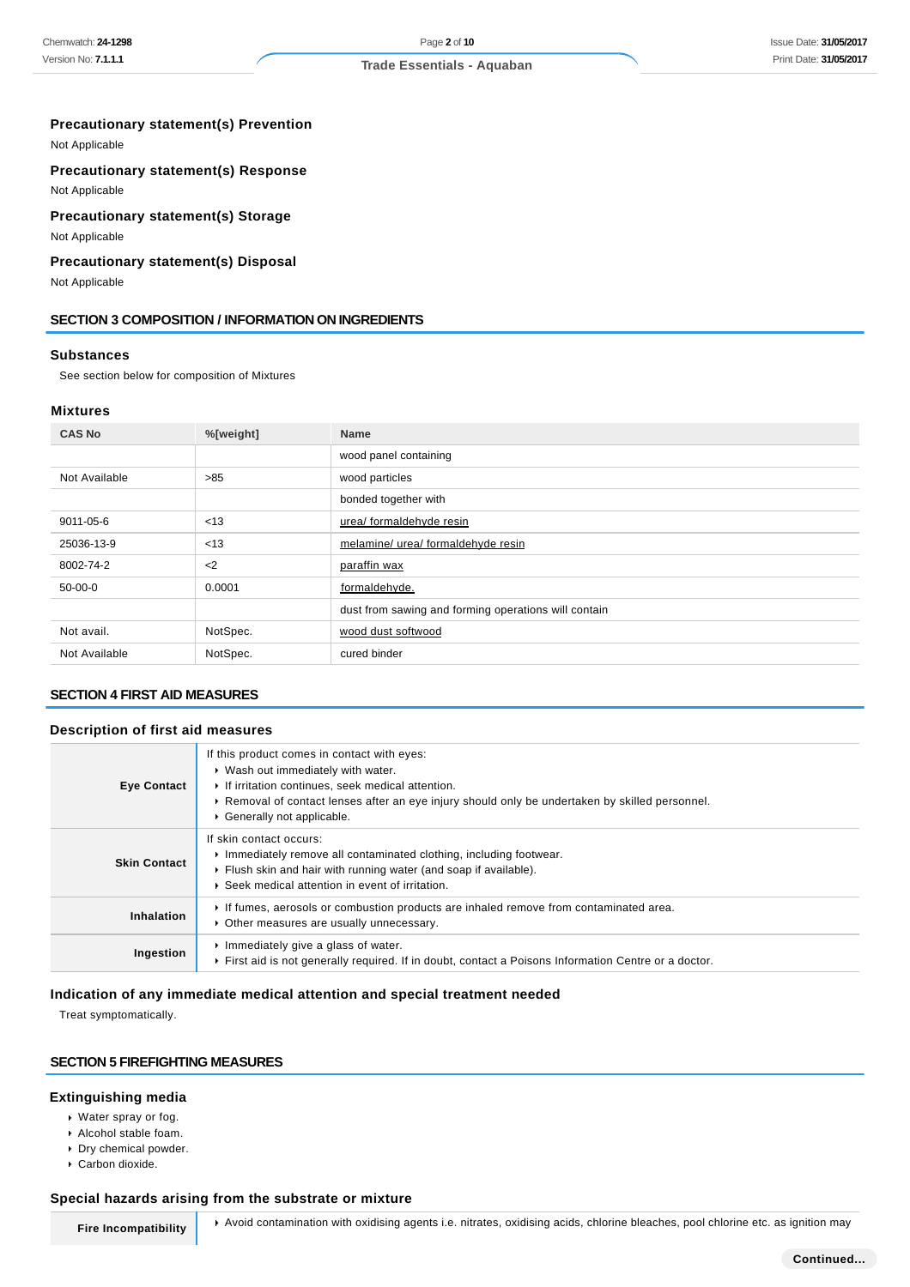# **Precautionary statement(s) Prevention**

Not Applicable

### **Precautionary statement(s) Response**

Not Applicable

# **Precautionary statement(s) Storage**

Not Applicable

### **Precautionary statement(s) Disposal**

Not Applicable

### **SECTION 3 COMPOSITION / INFORMATION ON INGREDIENTS**

#### **Substances**

See section below for composition of Mixtures

### **Mixtures**

| <b>CAS No</b> | %[weight] | <b>Name</b>                                          |
|---------------|-----------|------------------------------------------------------|
|               |           | wood panel containing                                |
| Not Available | $>85$     | wood particles                                       |
|               |           | bonded together with                                 |
| 9011-05-6     | < 13      | urea/ formaldehyde resin                             |
| 25036-13-9    | < 13      | melamine/ urea/ formaldehyde resin                   |
| 8002-74-2     | $2$       | paraffin wax                                         |
| 50-00-0       | 0.0001    | formaldehyde.                                        |
|               |           | dust from sawing and forming operations will contain |
| Not avail.    | NotSpec.  | wood dust softwood                                   |
| Not Available | NotSpec.  | cured binder                                         |

# **SECTION 4 FIRST AID MEASURES**

### **Description of first aid measures**

| <b>Eye Contact</b>  | If this product comes in contact with eyes:<br>• Wash out immediately with water.<br>If irritation continues, seek medical attention.<br>► Removal of contact lenses after an eye injury should only be undertaken by skilled personnel.<br>Generally not applicable. |
|---------------------|-----------------------------------------------------------------------------------------------------------------------------------------------------------------------------------------------------------------------------------------------------------------------|
| <b>Skin Contact</b> | If skin contact occurs:<br>Immediately remove all contaminated clothing, including footwear.<br>Flush skin and hair with running water (and soap if available).<br>▶ Seek medical attention in event of irritation.                                                   |
| <b>Inhalation</b>   | If fumes, aerosols or combustion products are inhaled remove from contaminated area.<br>• Other measures are usually unnecessary.                                                                                                                                     |
| Ingestion           | Immediately give a glass of water.<br>First aid is not generally required. If in doubt, contact a Poisons Information Centre or a doctor.                                                                                                                             |

# **Indication of any immediate medical attention and special treatment needed**

Treat symptomatically.

# **SECTION 5 FIREFIGHTING MEASURES**

### **Extinguishing media**

- Water spray or fog.
- Alcohol stable foam.
- Dry chemical powder.
- Carbon dioxide.

### **Special hazards arising from the substrate or mixture**

**Fire Incompatibility** Avoid contamination with oxidising agents i.e. nitrates, oxidising acids, chlorine bleaches, pool chlorine etc. as ignition may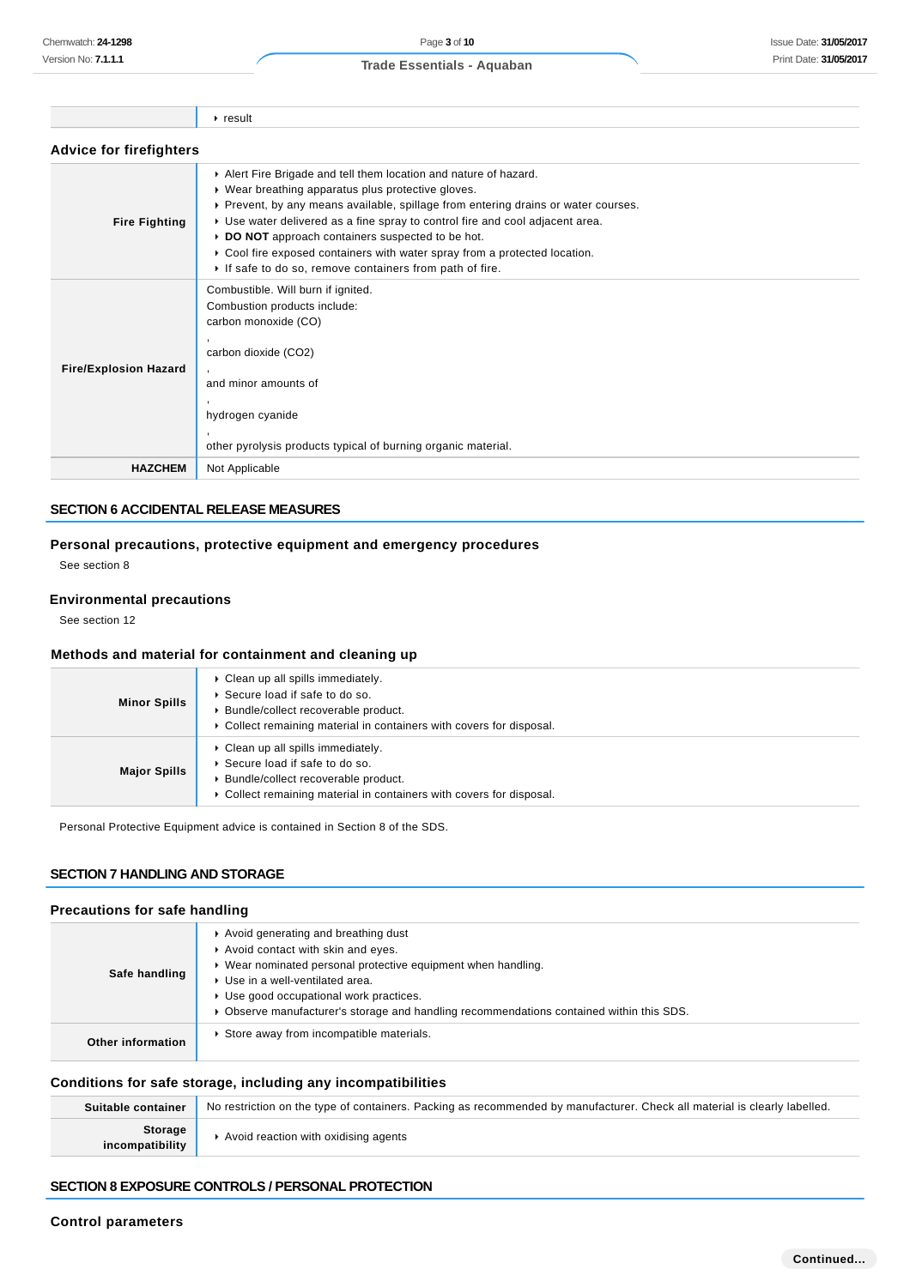| <b>Advice for firefighters</b> |                                                                                                                                                                                                                                                                                                                                                                                                                                                                                         |  |  |  |
|--------------------------------|-----------------------------------------------------------------------------------------------------------------------------------------------------------------------------------------------------------------------------------------------------------------------------------------------------------------------------------------------------------------------------------------------------------------------------------------------------------------------------------------|--|--|--|
| <b>Fire Fighting</b>           | Alert Fire Brigade and tell them location and nature of hazard.<br>• Wear breathing apparatus plus protective gloves.<br>► Prevent, by any means available, spillage from entering drains or water courses.<br>► Use water delivered as a fine spray to control fire and cool adjacent area.<br>DO NOT approach containers suspected to be hot.<br>► Cool fire exposed containers with water spray from a protected location.<br>If safe to do so, remove containers from path of fire. |  |  |  |
| <b>Fire/Explosion Hazard</b>   | Combustible. Will burn if ignited.<br>Combustion products include:<br>carbon monoxide (CO)<br>carbon dioxide (CO2)<br>and minor amounts of<br>hydrogen cyanide<br>other pyrolysis products typical of burning organic material.                                                                                                                                                                                                                                                         |  |  |  |
| <b>HAZCHEM</b>                 | Not Applicable                                                                                                                                                                                                                                                                                                                                                                                                                                                                          |  |  |  |

### **SECTION 6 ACCIDENTAL RELEASE MEASURES**

# **Personal precautions, protective equipment and emergency procedures**

See section 8

### **Environmental precautions**

See section 12

### **Methods and material for containment and cleaning up**

 $r$  result

| <b>Minor Spills</b> | $\triangleright$ Clean up all spills immediately.<br>▶ Secure load if safe to do so.<br>▶ Bundle/collect recoverable product.<br>• Collect remaining material in containers with covers for disposal. |
|---------------------|-------------------------------------------------------------------------------------------------------------------------------------------------------------------------------------------------------|
| <b>Major Spills</b> | $\triangleright$ Clean up all spills immediately.<br>▶ Secure load if safe to do so.<br>Bundle/collect recoverable product.<br>• Collect remaining material in containers with covers for disposal.   |

Personal Protective Equipment advice is contained in Section 8 of the SDS.

# **SECTION 7 HANDLING AND STORAGE**

# **Precautions for safe handling**

| Safe handling     | Avoid generating and breathing dust<br>Avoid contact with skin and eyes.<br>▶ Wear nominated personal protective equipment when handling.<br>▶ Use in a well-ventilated area.<br>▶ Use good occupational work practices.<br>▶ Observe manufacturer's storage and handling recommendations contained within this SDS. |
|-------------------|----------------------------------------------------------------------------------------------------------------------------------------------------------------------------------------------------------------------------------------------------------------------------------------------------------------------|
| Other information | Store away from incompatible materials.                                                                                                                                                                                                                                                                              |

# **Conditions for safe storage, including any incompatibilities**

| Suitable container         | No restriction on the type of containers. Packing as recommended by manufacturer. Check all material is clearly labelled. |
|----------------------------|---------------------------------------------------------------------------------------------------------------------------|
| Storage<br>incompatibility | Avoid reaction with oxidising agents                                                                                      |

# **SECTION 8 EXPOSURE CONTROLS / PERSONAL PROTECTION**

### **Control parameters**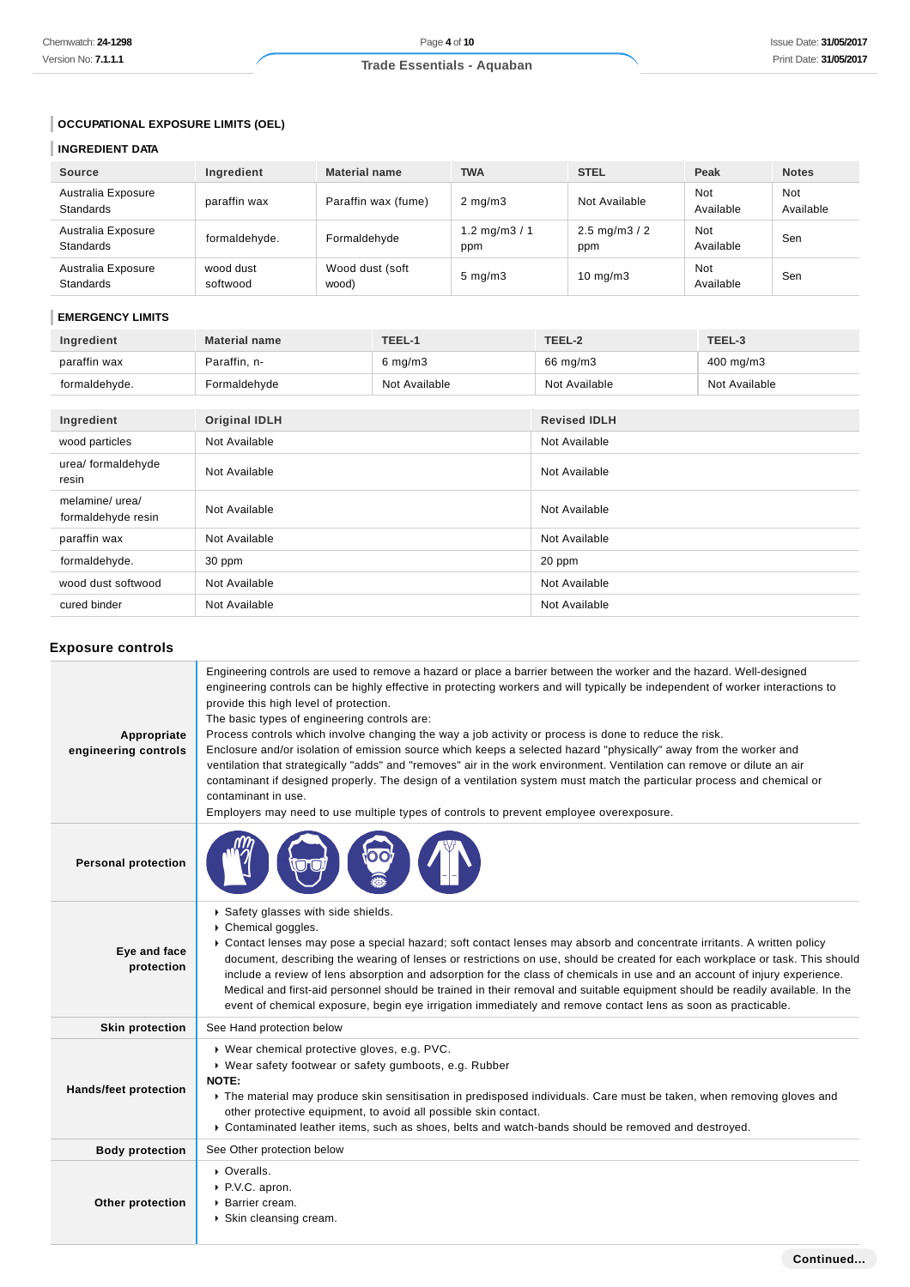# **OCCUPATIONAL EXPOSURE LIMITS (OEL)**

# **INGREDIENT DATA**

| <b>Source</b>                          | Ingredient            | <b>Material name</b>     | <b>TWA</b>            | <b>STEL</b>                       | Peak             | <b>Notes</b>     |
|----------------------------------------|-----------------------|--------------------------|-----------------------|-----------------------------------|------------------|------------------|
| Australia Exposure<br><b>Standards</b> | paraffin wax          | Paraffin wax (fume)      | $2 \text{ mg/m}$      | Not Available                     | Not<br>Available | Not<br>Available |
| Australia Exposure<br><b>Standards</b> | formaldehyde.         | Formaldehyde             | 1.2 mg/m $3/1$<br>ppm | $2.5 \text{ mg/m}$ $3 / 2$<br>ppm | Not<br>Available | Sen              |
| Australia Exposure<br><b>Standards</b> | wood dust<br>softwood | Wood dust (soft<br>wood) | $5 \text{ mg/m}$      | $10 \text{ mg/m}$ 3               | Not<br>Available | Sen              |

### **EMERGENCY LIMITS**

| Ingredient                            | <b>Material name</b> | TEEL-1        | TEEL-2              | TEEL-3        |
|---------------------------------------|----------------------|---------------|---------------------|---------------|
| paraffin wax                          | Paraffin, n-         | $6$ mg/m $3$  | 66 mg/m3            | 400 mg/m3     |
| formaldehyde.                         | Formaldehyde         | Not Available | Not Available       | Not Available |
|                                       |                      |               |                     |               |
| Ingredient                            | <b>Original IDLH</b> |               | <b>Revised IDLH</b> |               |
| wood particles                        | Not Available        |               | Not Available       |               |
| urea/ formaldehyde<br>resin           | Not Available        |               | Not Available       |               |
| melamine/ urea/<br>formaldehyde resin | Not Available        |               | Not Available       |               |
| paraffin wax                          | Not Available        |               | Not Available       |               |
| formaldehyde.                         | 30 ppm               |               | 20 ppm              |               |
| wood dust softwood                    | Not Available        |               | Not Available       |               |
| cured binder                          | Not Available        |               | Not Available       |               |

# **Exposure controls**

| Appropriate<br>engineering controls | Engineering controls are used to remove a hazard or place a barrier between the worker and the hazard. Well-designed<br>engineering controls can be highly effective in protecting workers and will typically be independent of worker interactions to<br>provide this high level of protection.<br>The basic types of engineering controls are:<br>Process controls which involve changing the way a job activity or process is done to reduce the risk.<br>Enclosure and/or isolation of emission source which keeps a selected hazard "physically" away from the worker and<br>ventilation that strategically "adds" and "removes" air in the work environment. Ventilation can remove or dilute an air<br>contaminant if designed properly. The design of a ventilation system must match the particular process and chemical or<br>contaminant in use.<br>Employers may need to use multiple types of controls to prevent employee overexposure. |
|-------------------------------------|-------------------------------------------------------------------------------------------------------------------------------------------------------------------------------------------------------------------------------------------------------------------------------------------------------------------------------------------------------------------------------------------------------------------------------------------------------------------------------------------------------------------------------------------------------------------------------------------------------------------------------------------------------------------------------------------------------------------------------------------------------------------------------------------------------------------------------------------------------------------------------------------------------------------------------------------------------|
| <b>Personal protection</b>          |                                                                                                                                                                                                                                                                                                                                                                                                                                                                                                                                                                                                                                                                                                                                                                                                                                                                                                                                                       |
| Eye and face<br>protection          | Safety glasses with side shields.<br>Chemical goggles.<br>► Contact lenses may pose a special hazard; soft contact lenses may absorb and concentrate irritants. A written policy<br>document, describing the wearing of lenses or restrictions on use, should be created for each workplace or task. This should<br>include a review of lens absorption and adsorption for the class of chemicals in use and an account of injury experience.<br>Medical and first-aid personnel should be trained in their removal and suitable equipment should be readily available. In the<br>event of chemical exposure, begin eye irrigation immediately and remove contact lens as soon as practicable.                                                                                                                                                                                                                                                        |
| <b>Skin protection</b>              | See Hand protection below                                                                                                                                                                                                                                                                                                                                                                                                                                                                                                                                                                                                                                                                                                                                                                                                                                                                                                                             |
| Hands/feet protection               | ▶ Wear chemical protective gloves, e.g. PVC.<br>▶ Wear safety footwear or safety gumboots, e.g. Rubber<br>NOTE:<br>▶ The material may produce skin sensitisation in predisposed individuals. Care must be taken, when removing gloves and<br>other protective equipment, to avoid all possible skin contact.<br>▶ Contaminated leather items, such as shoes, belts and watch-bands should be removed and destroyed.                                                                                                                                                                                                                                                                                                                                                                                                                                                                                                                                   |
| <b>Body protection</b>              | See Other protection below                                                                                                                                                                                                                                                                                                                                                                                                                                                                                                                                                                                                                                                                                                                                                                                                                                                                                                                            |
| Other protection                    | • Overalls.<br>P.V.C. apron.<br><b>Barrier cream.</b><br>▶ Skin cleansing cream.                                                                                                                                                                                                                                                                                                                                                                                                                                                                                                                                                                                                                                                                                                                                                                                                                                                                      |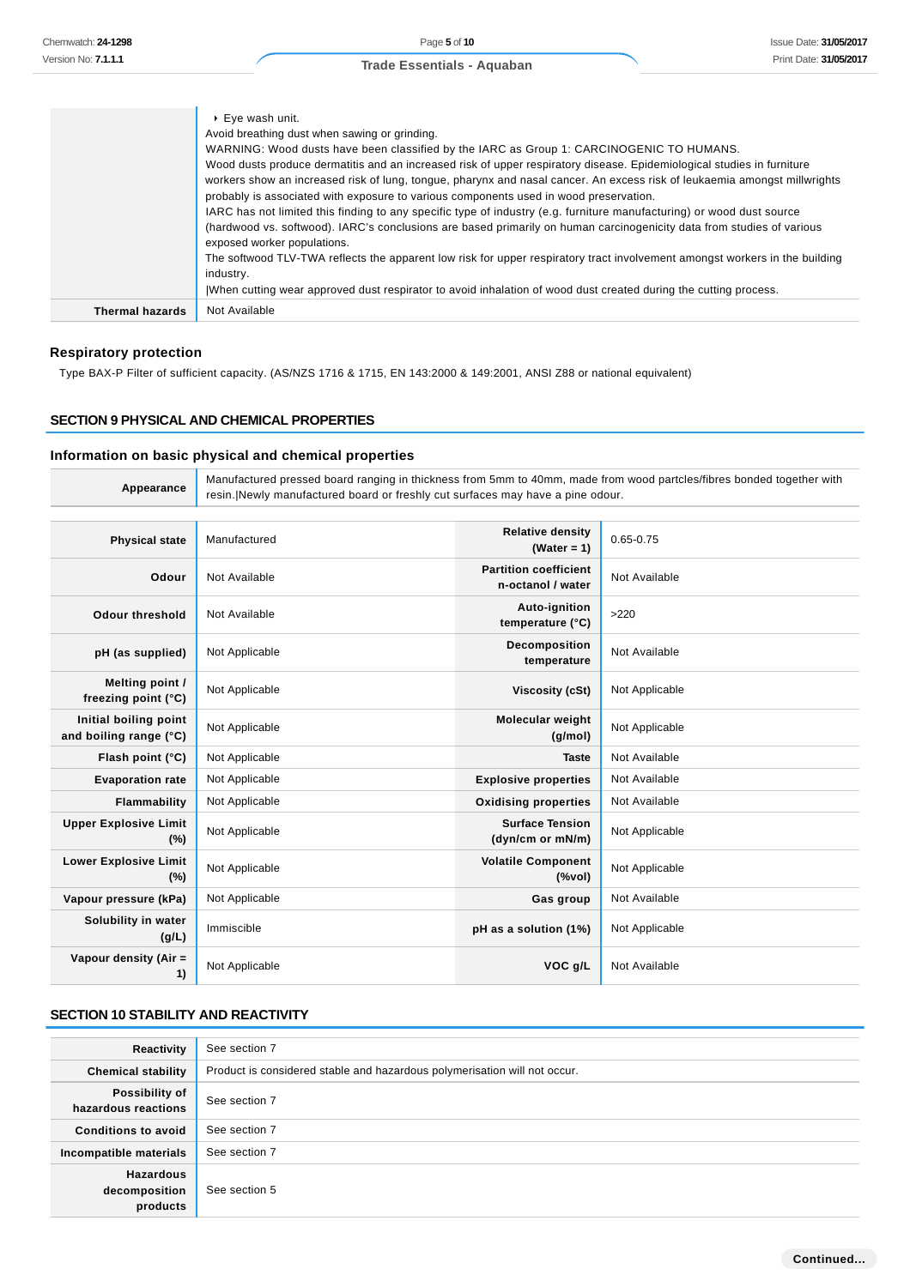|                 | $\triangleright$ Eye wash unit.<br>Avoid breathing dust when sawing or grinding.<br>WARNING: Wood dusts have been classified by the IARC as Group 1: CARCINOGENIC TO HUMANS.<br>Wood dusts produce dermatitis and an increased risk of upper respiratory disease. Epidemiological studies in furniture<br>workers show an increased risk of lung, tongue, pharynx and nasal cancer. An excess risk of leukaemia amongst millwrights<br>probably is associated with exposure to various components used in wood preservation.<br>IARC has not limited this finding to any specific type of industry (e.g. furniture manufacturing) or wood dust source<br>(hardwood vs. softwood). IARC's conclusions are based primarily on human carcinogenicity data from studies of various<br>exposed worker populations.<br>The softwood TLV-TWA reflects the apparent low risk for upper respiratory tract involvement amongst workers in the building<br>industry.<br>When cutting wear approved dust respirator to avoid inhalation of wood dust created during the cutting process. |
|-----------------|------------------------------------------------------------------------------------------------------------------------------------------------------------------------------------------------------------------------------------------------------------------------------------------------------------------------------------------------------------------------------------------------------------------------------------------------------------------------------------------------------------------------------------------------------------------------------------------------------------------------------------------------------------------------------------------------------------------------------------------------------------------------------------------------------------------------------------------------------------------------------------------------------------------------------------------------------------------------------------------------------------------------------------------------------------------------------|
| Thermal hazards | Not Available                                                                                                                                                                                                                                                                                                                                                                                                                                                                                                                                                                                                                                                                                                                                                                                                                                                                                                                                                                                                                                                                |

# **Respiratory protection**

Type BAX-P Filter of sufficient capacity. (AS/NZS 1716 & 1715, EN 143:2000 & 149:2001, ANSI Z88 or national equivalent)

### **SECTION 9 PHYSICAL AND CHEMICAL PROPERTIES**

# **Information on basic physical and chemical properties**

| Appearance                                      | Manufactured pressed board ranging in thickness from 5mm to 40mm, made from wood partcles/fibres bonded together with<br>resin. Newly manufactured board or freshly cut surfaces may have a pine odour. |                                                   |                |
|-------------------------------------------------|---------------------------------------------------------------------------------------------------------------------------------------------------------------------------------------------------------|---------------------------------------------------|----------------|
|                                                 |                                                                                                                                                                                                         |                                                   |                |
| <b>Physical state</b>                           | Manufactured                                                                                                                                                                                            | <b>Relative density</b><br>(Water = $1$ )         | $0.65 - 0.75$  |
| Odour                                           | Not Available                                                                                                                                                                                           | <b>Partition coefficient</b><br>n-octanol / water | Not Available  |
| <b>Odour threshold</b>                          | Not Available                                                                                                                                                                                           | Auto-ignition<br>temperature (°C)                 | >220           |
| pH (as supplied)                                | Not Applicable                                                                                                                                                                                          | Decomposition<br>temperature                      | Not Available  |
| Melting point /<br>freezing point (°C)          | Not Applicable                                                                                                                                                                                          | <b>Viscosity (cSt)</b>                            | Not Applicable |
| Initial boiling point<br>and boiling range (°C) | Not Applicable                                                                                                                                                                                          | Molecular weight<br>(g/mol)                       | Not Applicable |
| Flash point (°C)                                | Not Applicable                                                                                                                                                                                          | <b>Taste</b>                                      | Not Available  |
| <b>Evaporation rate</b>                         | Not Applicable                                                                                                                                                                                          | <b>Explosive properties</b>                       | Not Available  |
| Flammability                                    | Not Applicable                                                                                                                                                                                          | <b>Oxidising properties</b>                       | Not Available  |
| <b>Upper Explosive Limit</b><br>(%)             | Not Applicable                                                                                                                                                                                          | <b>Surface Tension</b><br>(dyn/cm or mN/m)        | Not Applicable |
| <b>Lower Explosive Limit</b><br>(%)             | Not Applicable                                                                                                                                                                                          | <b>Volatile Component</b><br>(%                   | Not Applicable |
| Vapour pressure (kPa)                           | Not Applicable                                                                                                                                                                                          | Gas group                                         | Not Available  |
| Solubility in water<br>(g/L)                    | Immiscible                                                                                                                                                                                              | pH as a solution (1%)                             | Not Applicable |
| Vapour density (Air =<br>1)                     | Not Applicable                                                                                                                                                                                          | VOC g/L                                           | Not Available  |

# **SECTION 10 STABILITY AND REACTIVITY**

| Reactivity                                    | See section 7                                                             |
|-----------------------------------------------|---------------------------------------------------------------------------|
| <b>Chemical stability</b>                     | Product is considered stable and hazardous polymerisation will not occur. |
| Possibility of<br>hazardous reactions         | See section 7                                                             |
| <b>Conditions to avoid</b>                    | See section 7                                                             |
| Incompatible materials                        | See section 7                                                             |
| <b>Hazardous</b><br>decomposition<br>products | See section 5                                                             |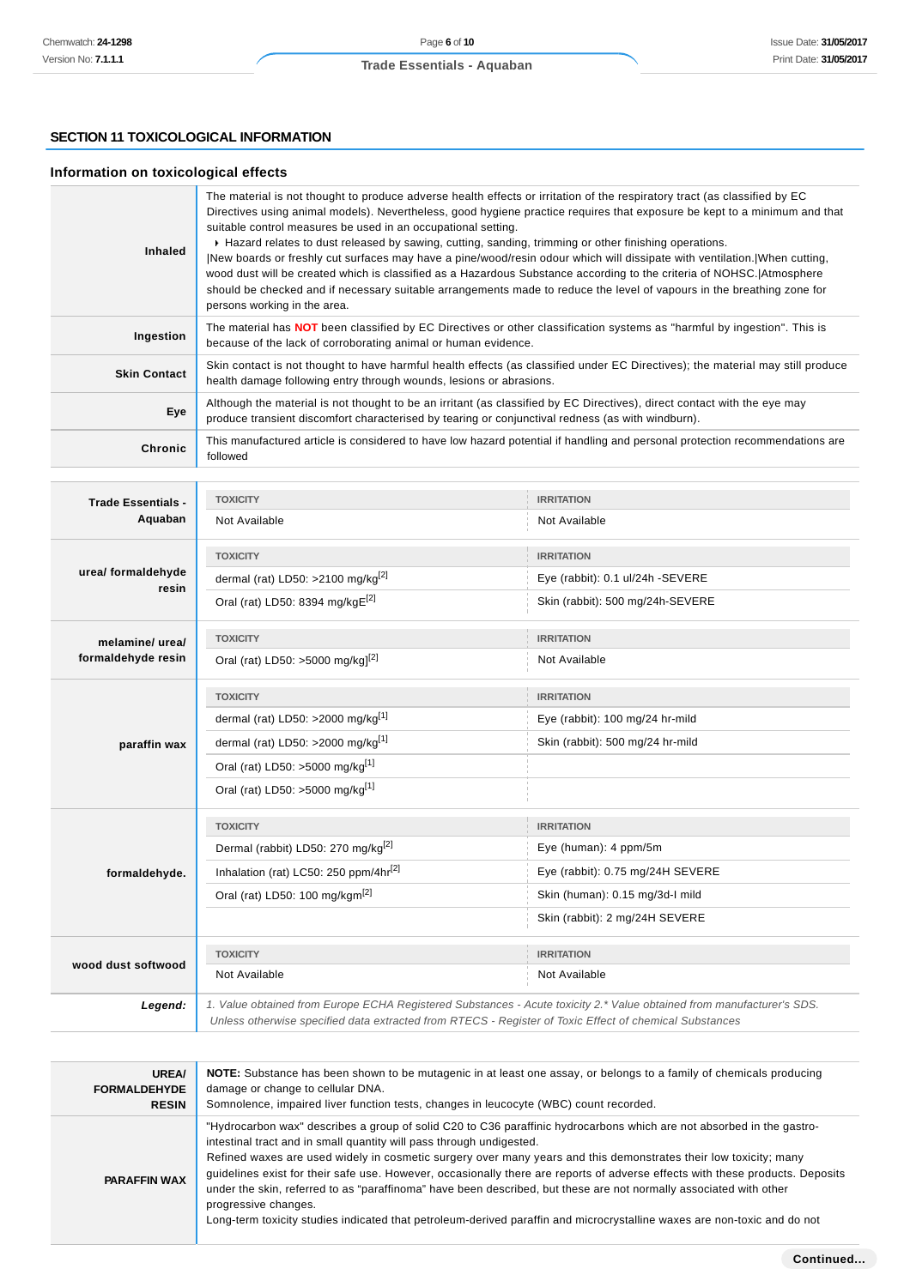# **SECTION 11 TOXICOLOGICAL INFORMATION**

# **Information on toxicological effects**

| <b>Inhaled</b>      | The material is not thought to produce adverse health effects or irritation of the respiratory tract (as classified by EC<br>Directives using animal models). Nevertheless, good hygiene practice requires that exposure be kept to a minimum and that<br>suitable control measures be used in an occupational setting.<br>► Hazard relates to dust released by sawing, cutting, sanding, trimming or other finishing operations.<br>New boards or freshly cut surfaces may have a pine/wood/resin odour which will dissipate with ventilation. When cutting,<br>wood dust will be created which is classified as a Hazardous Substance according to the criteria of NOHSC. Atmosphere<br>should be checked and if necessary suitable arrangements made to reduce the level of vapours in the breathing zone for<br>persons working in the area. |
|---------------------|--------------------------------------------------------------------------------------------------------------------------------------------------------------------------------------------------------------------------------------------------------------------------------------------------------------------------------------------------------------------------------------------------------------------------------------------------------------------------------------------------------------------------------------------------------------------------------------------------------------------------------------------------------------------------------------------------------------------------------------------------------------------------------------------------------------------------------------------------|
| Ingestion           | The material has <b>NOT</b> been classified by EC Directives or other classification systems as "harmful by ingestion". This is<br>because of the lack of corroborating animal or human evidence.                                                                                                                                                                                                                                                                                                                                                                                                                                                                                                                                                                                                                                                |
| <b>Skin Contact</b> | Skin contact is not thought to have harmful health effects (as classified under EC Directives); the material may still produce<br>health damage following entry through wounds, lesions or abrasions.                                                                                                                                                                                                                                                                                                                                                                                                                                                                                                                                                                                                                                            |
| Eye                 | Although the material is not thought to be an irritant (as classified by EC Directives), direct contact with the eye may<br>produce transient discomfort characterised by tearing or conjunctival redness (as with windburn).                                                                                                                                                                                                                                                                                                                                                                                                                                                                                                                                                                                                                    |
| Chronic             | This manufactured article is considered to have low hazard potential if handling and personal protection recommendations are<br>followed                                                                                                                                                                                                                                                                                                                                                                                                                                                                                                                                                                                                                                                                                                         |

| <b>Trade Essentials -</b>   | <b>TOXICITY</b>                                                                                                                                                                                                                 | <b>IRRITATION</b>                |  |
|-----------------------------|---------------------------------------------------------------------------------------------------------------------------------------------------------------------------------------------------------------------------------|----------------------------------|--|
| Aquaban                     | Not Available                                                                                                                                                                                                                   | Not Available                    |  |
|                             | <b>TOXICITY</b>                                                                                                                                                                                                                 | <b>IRRITATION</b>                |  |
| urea/ formaldehyde<br>resin | dermal (rat) LD50: >2100 mg/kg <sup>[2]</sup>                                                                                                                                                                                   | Eye (rabbit): 0.1 ul/24h -SEVERE |  |
|                             | Oral (rat) LD50: 8394 mg/kgE <sup>[2]</sup>                                                                                                                                                                                     | Skin (rabbit): 500 mg/24h-SEVERE |  |
| melamine/ urea/             | <b>TOXICITY</b>                                                                                                                                                                                                                 | <b>IRRITATION</b>                |  |
| formaldehyde resin          | Oral (rat) LD50: >5000 mg/kg] <sup>[2]</sup>                                                                                                                                                                                    | Not Available                    |  |
|                             | <b>TOXICITY</b>                                                                                                                                                                                                                 | <b>IRRITATION</b>                |  |
|                             | dermal (rat) LD50: >2000 mg/kg[1]                                                                                                                                                                                               | Eye (rabbit): 100 mg/24 hr-mild  |  |
| paraffin wax                | dermal (rat) LD50: >2000 mg/kg <sup>[1]</sup>                                                                                                                                                                                   | Skin (rabbit): 500 mg/24 hr-mild |  |
|                             | Oral (rat) LD50: >5000 mg/kg <sup>[1]</sup>                                                                                                                                                                                     |                                  |  |
|                             | Oral (rat) LD50: >5000 mg/kg <sup>[1]</sup>                                                                                                                                                                                     |                                  |  |
|                             | <b>TOXICITY</b>                                                                                                                                                                                                                 | <b>IRRITATION</b>                |  |
|                             | Dermal (rabbit) LD50: 270 mg/kg <sup>[2]</sup>                                                                                                                                                                                  | Eye (human): 4 ppm/5m            |  |
| formaldehyde.               | Inhalation (rat) LC50: 250 ppm/4hr <sup>[2]</sup>                                                                                                                                                                               | Eye (rabbit): 0.75 mg/24H SEVERE |  |
|                             | Oral (rat) LD50: 100 mg/kgm <sup>[2]</sup>                                                                                                                                                                                      | Skin (human): 0.15 mg/3d-l mild  |  |
|                             |                                                                                                                                                                                                                                 | Skin (rabbit): 2 mg/24H SEVERE   |  |
|                             | <b>TOXICITY</b>                                                                                                                                                                                                                 | <b>IRRITATION</b>                |  |
| wood dust softwood          | Not Available                                                                                                                                                                                                                   | Not Available                    |  |
| Legend:                     | 1. Value obtained from Europe ECHA Registered Substances - Acute toxicity 2.* Value obtained from manufacturer's SDS.<br>Unless otherwise specified data extracted from RTECS - Register of Toxic Effect of chemical Substances |                                  |  |

| <b>UREA/</b><br><b>FORMALDEHYDE</b><br><b>RESIN</b> | NOTE: Substance has been shown to be mutagenic in at least one assay, or belongs to a family of chemicals producing<br>damage or change to cellular DNA.<br>Somnolence, impaired liver function tests, changes in leucocyte (WBC) count recorded.                                                                                                                                                                                                                                                                                                                                                                                                                                                                            |
|-----------------------------------------------------|------------------------------------------------------------------------------------------------------------------------------------------------------------------------------------------------------------------------------------------------------------------------------------------------------------------------------------------------------------------------------------------------------------------------------------------------------------------------------------------------------------------------------------------------------------------------------------------------------------------------------------------------------------------------------------------------------------------------------|
| <b>PARAFFIN WAX</b>                                 | "Hydrocarbon wax" describes a group of solid C20 to C36 paraffinic hydrocarbons which are not absorbed in the gastro-<br>intestinal tract and in small quantity will pass through undigested.<br>Refined waxes are used widely in cosmetic surgery over many years and this demonstrates their low toxicity; many<br>guidelines exist for their safe use. However, occasionally there are reports of adverse effects with these products. Deposits<br>under the skin, referred to as "paraffinoma" have been described, but these are not normally associated with other<br>progressive changes.<br>Long-term toxicity studies indicated that petroleum-derived paraffin and microcrystalline waxes are non-toxic and do not |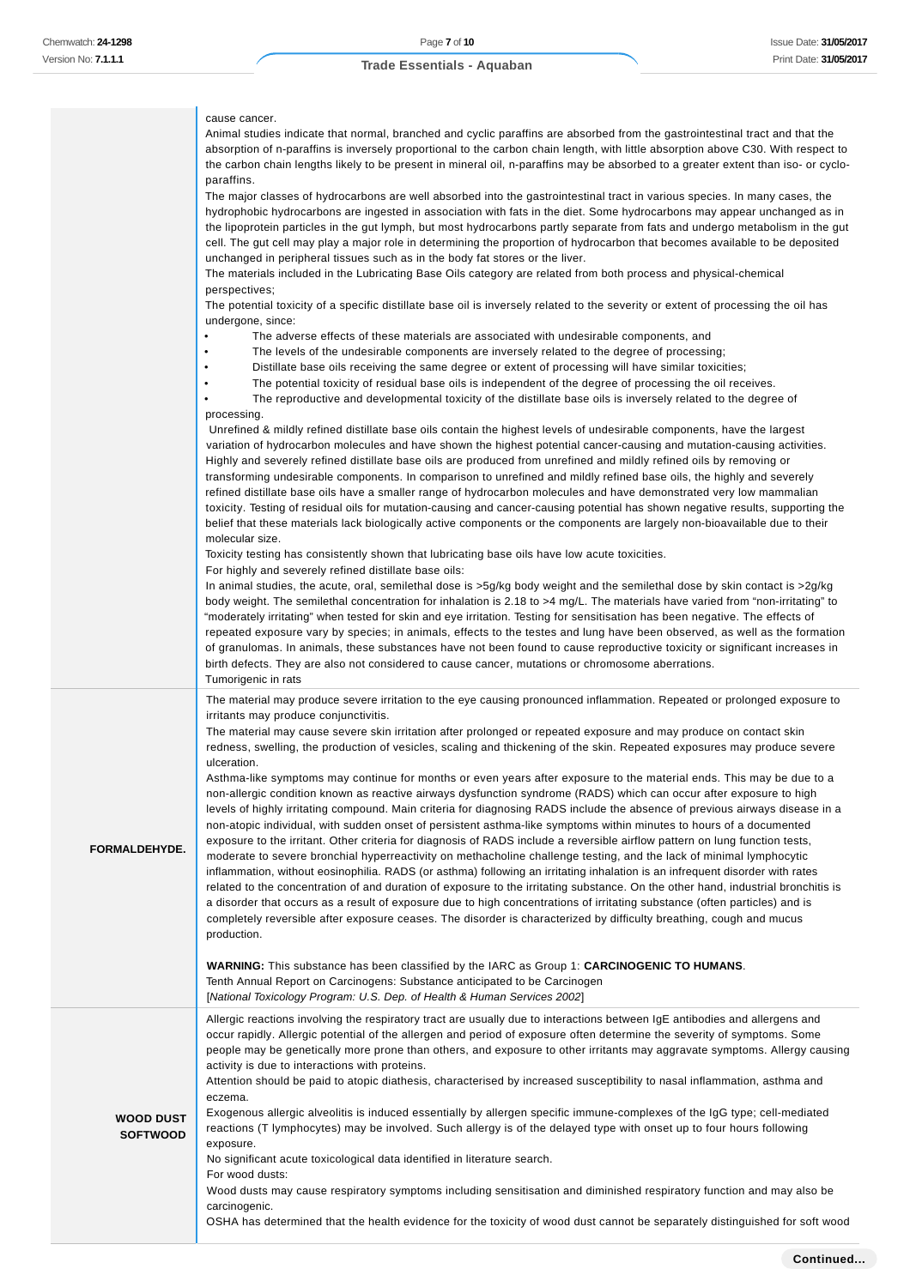cause cancer.

carcinogenic.

# **Trade Essentials - Aquaban**

|                                     | Animal studies indicate that normal, branched and cyclic paraffins are absorbed from the gastrointestinal tract and that the<br>absorption of n-paraffins is inversely proportional to the carbon chain length, with little absorption above C30. With respect to<br>the carbon chain lengths likely to be present in mineral oil, n-paraffins may be absorbed to a greater extent than iso- or cyclo-<br>paraffins.<br>The major classes of hydrocarbons are well absorbed into the gastrointestinal tract in various species. In many cases, the<br>hydrophobic hydrocarbons are ingested in association with fats in the diet. Some hydrocarbons may appear unchanged as in<br>the lipoprotein particles in the gut lymph, but most hydrocarbons partly separate from fats and undergo metabolism in the gut<br>cell. The gut cell may play a major role in determining the proportion of hydrocarbon that becomes available to be deposited<br>unchanged in peripheral tissues such as in the body fat stores or the liver.<br>The materials included in the Lubricating Base Oils category are related from both process and physical-chemical<br>perspectives;<br>The potential toxicity of a specific distillate base oil is inversely related to the severity or extent of processing the oil has<br>undergone, since:<br>The adverse effects of these materials are associated with undesirable components, and<br>$\bullet$<br>The levels of the undesirable components are inversely related to the degree of processing;<br>Distillate base oils receiving the same degree or extent of processing will have similar toxicities;<br>The potential toxicity of residual base oils is independent of the degree of processing the oil receives.<br>The reproductive and developmental toxicity of the distillate base oils is inversely related to the degree of<br>processing.<br>Unrefined & mildly refined distillate base oils contain the highest levels of undesirable components, have the largest<br>variation of hydrocarbon molecules and have shown the highest potential cancer-causing and mutation-causing activities.<br>Highly and severely refined distillate base oils are produced from unrefined and mildly refined oils by removing or<br>transforming undesirable components. In comparison to unrefined and mildly refined base oils, the highly and severely<br>refined distillate base oils have a smaller range of hydrocarbon molecules and have demonstrated very low mammalian<br>toxicity. Testing of residual oils for mutation-causing and cancer-causing potential has shown negative results, supporting the<br>belief that these materials lack biologically active components or the components are largely non-bioavailable due to their<br>molecular size.<br>Toxicity testing has consistently shown that lubricating base oils have low acute toxicities.<br>For highly and severely refined distillate base oils:<br>In animal studies, the acute, oral, semilethal dose is $>5g/kg$ body weight and the semilethal dose by skin contact is $>2g/kg$<br>body weight. The semilethal concentration for inhalation is 2.18 to >4 mg/L. The materials have varied from "non-irritating" to<br>"moderately irritating" when tested for skin and eye irritation. Testing for sensitisation has been negative. The effects of<br>repeated exposure vary by species; in animals, effects to the testes and lung have been observed, as well as the formation<br>of granulomas. In animals, these substances have not been found to cause reproductive toxicity or significant increases in<br>birth defects. They are also not considered to cause cancer, mutations or chromosome aberrations. |
|-------------------------------------|---------------------------------------------------------------------------------------------------------------------------------------------------------------------------------------------------------------------------------------------------------------------------------------------------------------------------------------------------------------------------------------------------------------------------------------------------------------------------------------------------------------------------------------------------------------------------------------------------------------------------------------------------------------------------------------------------------------------------------------------------------------------------------------------------------------------------------------------------------------------------------------------------------------------------------------------------------------------------------------------------------------------------------------------------------------------------------------------------------------------------------------------------------------------------------------------------------------------------------------------------------------------------------------------------------------------------------------------------------------------------------------------------------------------------------------------------------------------------------------------------------------------------------------------------------------------------------------------------------------------------------------------------------------------------------------------------------------------------------------------------------------------------------------------------------------------------------------------------------------------------------------------------------------------------------------------------------------------------------------------------------------------------------------------------------------------------------------------------------------------------------------------------------------------------------------------------------------------------------------------------------------------------------------------------------------------------------------------------------------------------------------------------------------------------------------------------------------------------------------------------------------------------------------------------------------------------------------------------------------------------------------------------------------------------------------------------------------------------------------------------------------------------------------------------------------------------------------------------------------------------------------------------------------------------------------------------------------------------------------------------------------------------------------------------------------------------------------------------------------------------------------------------------------------------------------------------------------------------------------------------------------------------------------------------------------------------------------------------------------------------------------------------------------------------------------------------------------------------------------------------------------------------------------------------------------------------------------------------------------------------------------------------------------------------------------------------------------------------------------------|
| FORMALDEHYDE.                       | Tumorigenic in rats<br>The material may produce severe irritation to the eye causing pronounced inflammation. Repeated or prolonged exposure to<br>irritants may produce conjunctivitis.<br>The material may cause severe skin irritation after prolonged or repeated exposure and may produce on contact skin<br>redness, swelling, the production of vesicles, scaling and thickening of the skin. Repeated exposures may produce severe<br>ulceration.<br>Asthma-like symptoms may continue for months or even years after exposure to the material ends. This may be due to a<br>non-allergic condition known as reactive airways dysfunction syndrome (RADS) which can occur after exposure to high<br>levels of highly irritating compound. Main criteria for diagnosing RADS include the absence of previous airways disease in a<br>non-atopic individual, with sudden onset of persistent asthma-like symptoms within minutes to hours of a documented<br>exposure to the irritant. Other criteria for diagnosis of RADS include a reversible airflow pattern on lung function tests,<br>moderate to severe bronchial hyperreactivity on methacholine challenge testing, and the lack of minimal lymphocytic<br>inflammation, without eosinophilia. RADS (or asthma) following an irritating inhalation is an infrequent disorder with rates<br>related to the concentration of and duration of exposure to the irritating substance. On the other hand, industrial bronchitis is<br>a disorder that occurs as a result of exposure due to high concentrations of irritating substance (often particles) and is<br>completely reversible after exposure ceases. The disorder is characterized by difficulty breathing, cough and mucus<br>production.<br><b>WARNING:</b> This substance has been classified by the IARC as Group 1: <b>CARCINOGENIC TO HUMANS</b> .<br>Tenth Annual Report on Carcinogens: Substance anticipated to be Carcinogen                                                                                                                                                                                                                                                                                                                                                                                                                                                                                                                                                                                                                                                                                                                                                                                                                                                                                                                                                                                                                                                                                                                                                                                                                                                                                                                                                                                                                                                                                                                                                                                                                                                                                                                                                                                  |
| <b>WOOD DUST</b><br><b>SOFTWOOD</b> | [National Toxicology Program: U.S. Dep. of Health & Human Services 2002]<br>Allergic reactions involving the respiratory tract are usually due to interactions between IgE antibodies and allergens and<br>occur rapidly. Allergic potential of the allergen and period of exposure often determine the severity of symptoms. Some<br>people may be genetically more prone than others, and exposure to other irritants may aggravate symptoms. Allergy causing<br>activity is due to interactions with proteins.<br>Attention should be paid to atopic diathesis, characterised by increased susceptibility to nasal inflammation, asthma and<br>eczema.<br>Exogenous allergic alveolitis is induced essentially by allergen specific immune-complexes of the IgG type; cell-mediated<br>reactions (T lymphocytes) may be involved. Such allergy is of the delayed type with onset up to four hours following<br>exposure.<br>No significant acute toxicological data identified in literature search.<br>For wood dusts:<br>Wood dusts may cause respiratory symptoms including sensitisation and diminished respiratory function and may also be                                                                                                                                                                                                                                                                                                                                                                                                                                                                                                                                                                                                                                                                                                                                                                                                                                                                                                                                                                                                                                                                                                                                                                                                                                                                                                                                                                                                                                                                                                                                                                                                                                                                                                                                                                                                                                                                                                                                                                                                                                                                                                                                                                                                                                                                                                                                                                                                                                                                                                                                                                                         |

OSHA has determined that the health evidence for the toxicity of wood dust cannot be separately distinguished for soft wood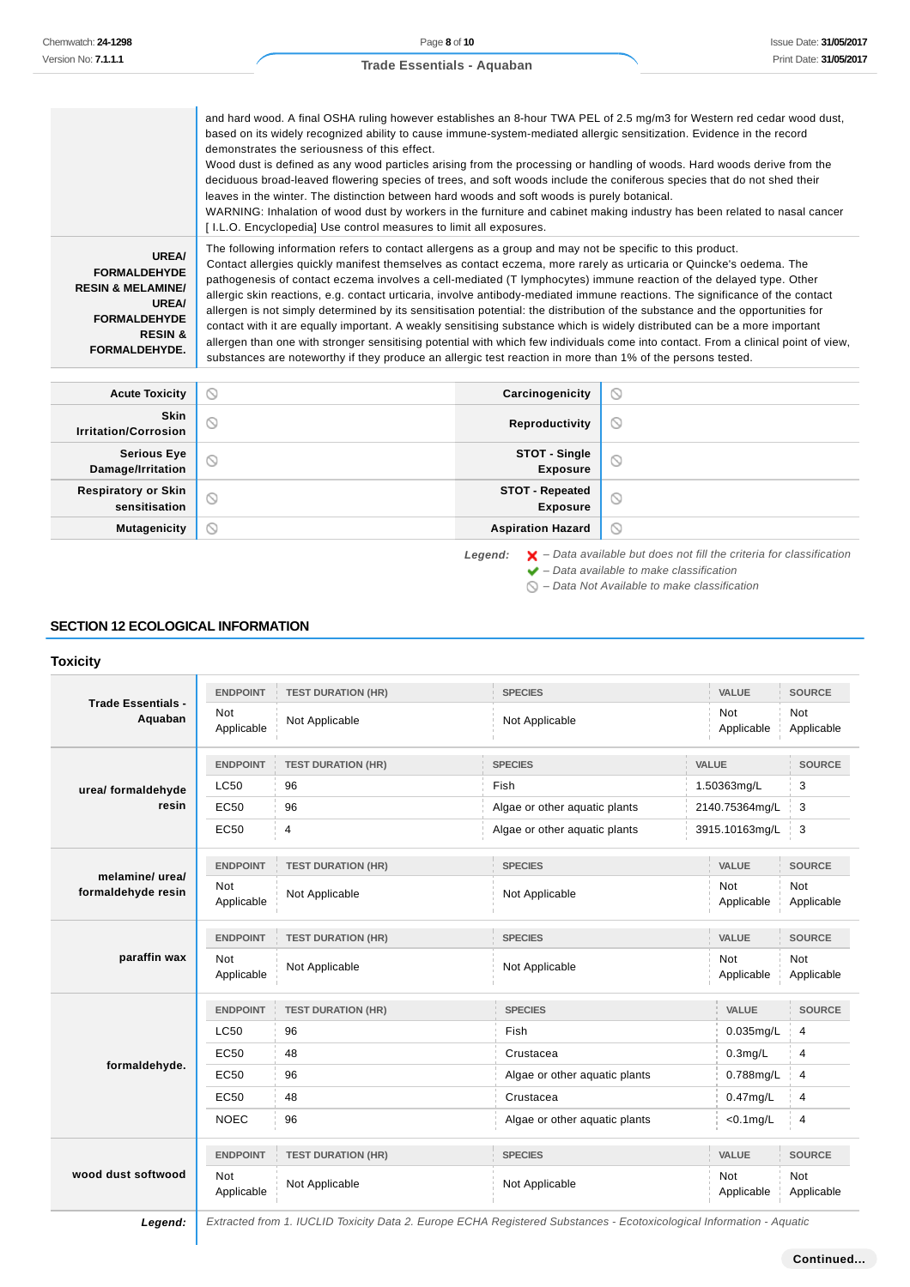and hard wood. A final OSHA ruling however establishes an 8-hour TWA PEL of 2.5 mg/m3 for Western red cedar wood dust, based on its widely recognized ability to cause immune-system-mediated allergic sensitization. Evidence in the record demonstrates the seriousness of this effect. Wood dust is defined as any wood particles arising from the processing or handling of woods. Hard woods derive from the deciduous broad-leaved flowering species of trees, and soft woods include the coniferous species that do not shed their leaves in the winter. The distinction between hard woods and soft woods is purely botanical. WARNING: Inhalation of wood dust by workers in the furniture and cabinet making industry has been related to nasal cancer [ I.L.O. Encyclopedia] Use control measures to limit all exposures. The following information refers to contact allergens as a group and may not be specific to this product. **UREA/** Contact allergies quickly manifest themselves as contact eczema, more rarely as urticaria or Quincke's oedema. The **FORMALDEHYDE** pathogenesis of contact eczema involves a cell-mediated (T lymphocytes) immune reaction of the delayed type. Other **RESIN & MELAMINE/** allergic skin reactions, e.g. contact urticaria, involve antibody-mediated immune reactions. The significance of the contact **UREA/** allergen is not simply determined by its sensitisation potential: the distribution of the substance and the opportunities for **FORMALDEHYDE** contact with it are equally important. A weakly sensitising substance which is widely distributed can be a more important **RESIN &** allergen than one with stronger sensitising potential with which few individuals come into contact. From a clinical point of view, **FORMALDEHYDE.** substances are noteworthy if they produce an allergic test reaction in more than 1% of the persons tested. **Acute Toxicity Carcinogenicity**  $\circ$ **Skin Irritation/Corrosion Reproductivity**

| <b>Irritation/Corrosion</b>          | $\checkmark$ | <b>Reproductivity</b>       | ◡       |
|--------------------------------------|--------------|-----------------------------|---------|
| Serious Eye<br>Damage/Irritation     |              | STOT - Single<br>Exposure   |         |
| Respiratory or Skin<br>sensitisation |              | STOT - Repeated<br>Exposure | $\circ$ |
| <b>Mutagenicity</b>                  |              | <b>Aspiration Hazard</b>    | $\circ$ |

Legend:  $\mathsf{X}$  – Data available but does not fill the criteria for classification  $\blacktriangleright$  – Data available to make classification

 $\bigcirc$  – Data Not Available to make classification

### **SECTION 12 ECOLOGICAL INFORMATION**

### **Toxicity**

|                                       | <b>ENDPOINT</b>          | <b>TEST DURATION (HR)</b> | <b>SPECIES</b>                |                          |                          | <b>SOURCE</b>            |
|---------------------------------------|--------------------------|---------------------------|-------------------------------|--------------------------|--------------------------|--------------------------|
| <b>Trade Essentials -</b><br>Aquaban  | <b>Not</b><br>Applicable | Not Applicable            | Not Applicable                | <b>Not</b><br>Applicable |                          | <b>Not</b><br>Applicable |
|                                       | <b>ENDPOINT</b>          | <b>TEST DURATION (HR)</b> | <b>SPECIES</b>                | VALUE                    |                          | <b>SOURCE</b>            |
| urea/ formaldehyde                    | <b>LC50</b>              | 96                        | Fish                          | 1.50363mg/L              |                          | 3                        |
| resin                                 | EC50                     | 96                        | Algae or other aquatic plants |                          | 2140.75364mg/L           | 3                        |
|                                       | EC50                     | 4                         | Algae or other aquatic plants |                          | 3915.10163mg/L           | 3                        |
|                                       | <b>ENDPOINT</b>          | <b>TEST DURATION (HR)</b> | <b>SPECIES</b>                |                          | VALUE                    | <b>SOURCE</b>            |
| melamine/ urea/<br>formaldehyde resin | <b>Not</b><br>Applicable | Not Applicable            | Not Applicable                | <b>Not</b><br>Applicable |                          | <b>Not</b><br>Applicable |
|                                       | <b>ENDPOINT</b>          | <b>TEST DURATION (HR)</b> | <b>SPECIES</b>                | VALUE                    |                          | <b>SOURCE</b>            |
| paraffin wax                          | <b>Not</b><br>Applicable | Not Applicable            | Not Applicable                |                          | <b>Not</b><br>Applicable | <b>Not</b><br>Applicable |
|                                       | <b>ENDPOINT</b>          | <b>TEST DURATION (HR)</b> | <b>SPECIES</b>                |                          |                          | <b>SOURCE</b>            |
|                                       | <b>LC50</b>              | 96                        | Fish                          |                          |                          | $\overline{4}$           |
|                                       | <b>EC50</b>              | 48                        | Crustacea                     |                          |                          | $\overline{4}$           |
| formaldehyde.                         | EC50                     | 96                        | Algae or other aquatic plants |                          |                          | 4                        |
|                                       | EC50                     | 48                        | Crustacea                     |                          |                          | 4                        |
|                                       | <b>NOEC</b>              | 96                        | Algae or other aquatic plants |                          |                          | 4                        |
| wood dust softwood                    | <b>ENDPOINT</b>          | <b>TEST DURATION (HR)</b> | <b>SPECIES</b>                | VALUE                    |                          | <b>SOURCE</b>            |
|                                       | <b>Not</b><br>Applicable | Not Applicable            | Not Applicable                |                          | <b>Not</b><br>Applicable | Not<br>Applicable        |

**Legend:** Extracted from 1. IUCLID Toxicity Data 2. Europe ECHA Registered Substances - Ecotoxicological Information - Aquatic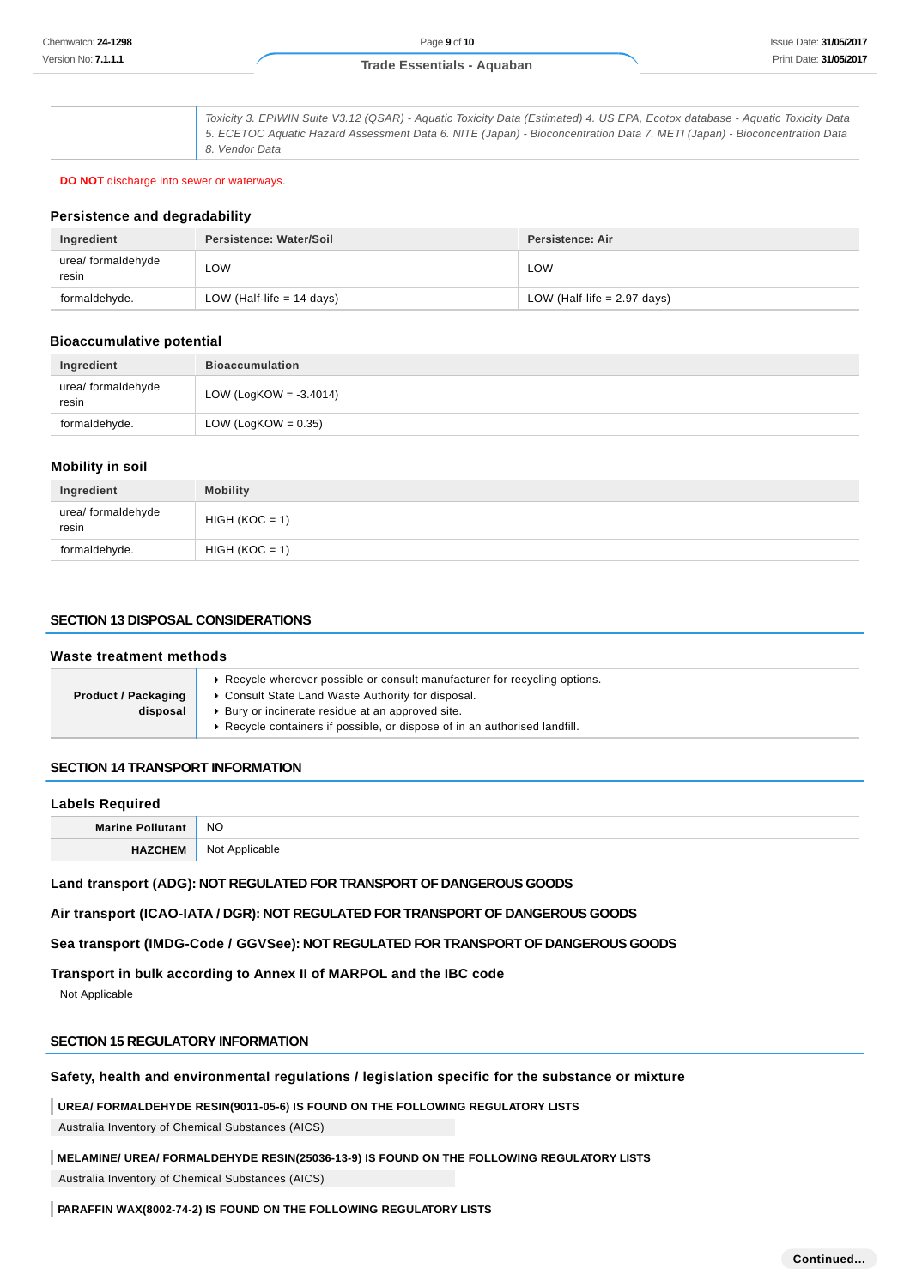Toxicity 3. EPIWIN Suite V3.12 (QSAR) - Aquatic Toxicity Data (Estimated) 4. US EPA, Ecotox database - Aquatic Toxicity Data 5. ECETOC Aquatic Hazard Assessment Data 6. NITE (Japan) - Bioconcentration Data 7. METI (Japan) - Bioconcentration Data 8. Vendor Data

**DO NOT** discharge into sewer or waterways.

### **Persistence and degradability**

| Ingredient                  | Persistence: Water/Soil     | Persistence: Air              |
|-----------------------------|-----------------------------|-------------------------------|
| urea/ formaldehyde<br>resin | ∟OW                         | LOW                           |
| formaldehyde.               | LOW (Half-life $= 14$ days) | LOW (Half-life $= 2.97$ days) |

### **Bioaccumulative potential**

| Ingredient                  | <b>Bioaccumulation</b>    |
|-----------------------------|---------------------------|
| urea/ formaldehyde<br>resin | LOW (LogKOW = $-3.4014$ ) |
| formaldehyde.               | LOW (LogKOW = $0.35$ )    |

### **Mobility in soil**

| Ingredient                  | <b>Mobility</b>  |
|-----------------------------|------------------|
| urea/ formaldehyde<br>resin | $HIGH (KOC = 1)$ |
| formaldehyde.               | $HIGH (KOC = 1)$ |

# **SECTION 13 DISPOSAL CONSIDERATIONS**

| Waste treatment methods                |                                                                                                                                                                                                                                                                 |  |
|----------------------------------------|-----------------------------------------------------------------------------------------------------------------------------------------------------------------------------------------------------------------------------------------------------------------|--|
| <b>Product / Packaging</b><br>disposal | Example wherever possible or consult manufacturer for recycling options.<br>▶ Consult State Land Waste Authority for disposal.<br>▶ Bury or incinerate residue at an approved site.<br>Recycle containers if possible, or dispose of in an authorised landfill. |  |
|                                        |                                                                                                                                                                                                                                                                 |  |

# **SECTION 14 TRANSPORT INFORMATION**

### **Labels Required**

**Marine Pollutant** NO **HAZCHEM** Not Applicable

**Land transport (ADG): NOT REGULATED FOR TRANSPORT OF DANGEROUS GOODS**

**Air transport (ICAO-IATA / DGR): NOT REGULATED FOR TRANSPORT OF DANGEROUS GOODS**

**Sea transport (IMDG-Code / GGVSee): NOT REGULATED FOR TRANSPORT OF DANGEROUS GOODS**

**Transport in bulk according to Annex II of MARPOL and the IBC code**

Not Applicable

### **SECTION 15 REGULATORY INFORMATION**

# **Safety, health and environmental regulations / legislation specific for the substance or mixture**

**UREA/ FORMALDEHYDE RESIN(9011-05-6) IS FOUND ON THE FOLLOWING REGULATORY LISTS**

Australia Inventory of Chemical Substances (AICS)

**MELAMINE/ UREA/ FORMALDEHYDE RESIN(25036-13-9) IS FOUND ON THE FOLLOWING REGULATORY LISTS** Australia Inventory of Chemical Substances (AICS)

**PARAFFIN WAX(8002-74-2) IS FOUND ON THE FOLLOWING REGULATORY LISTS**